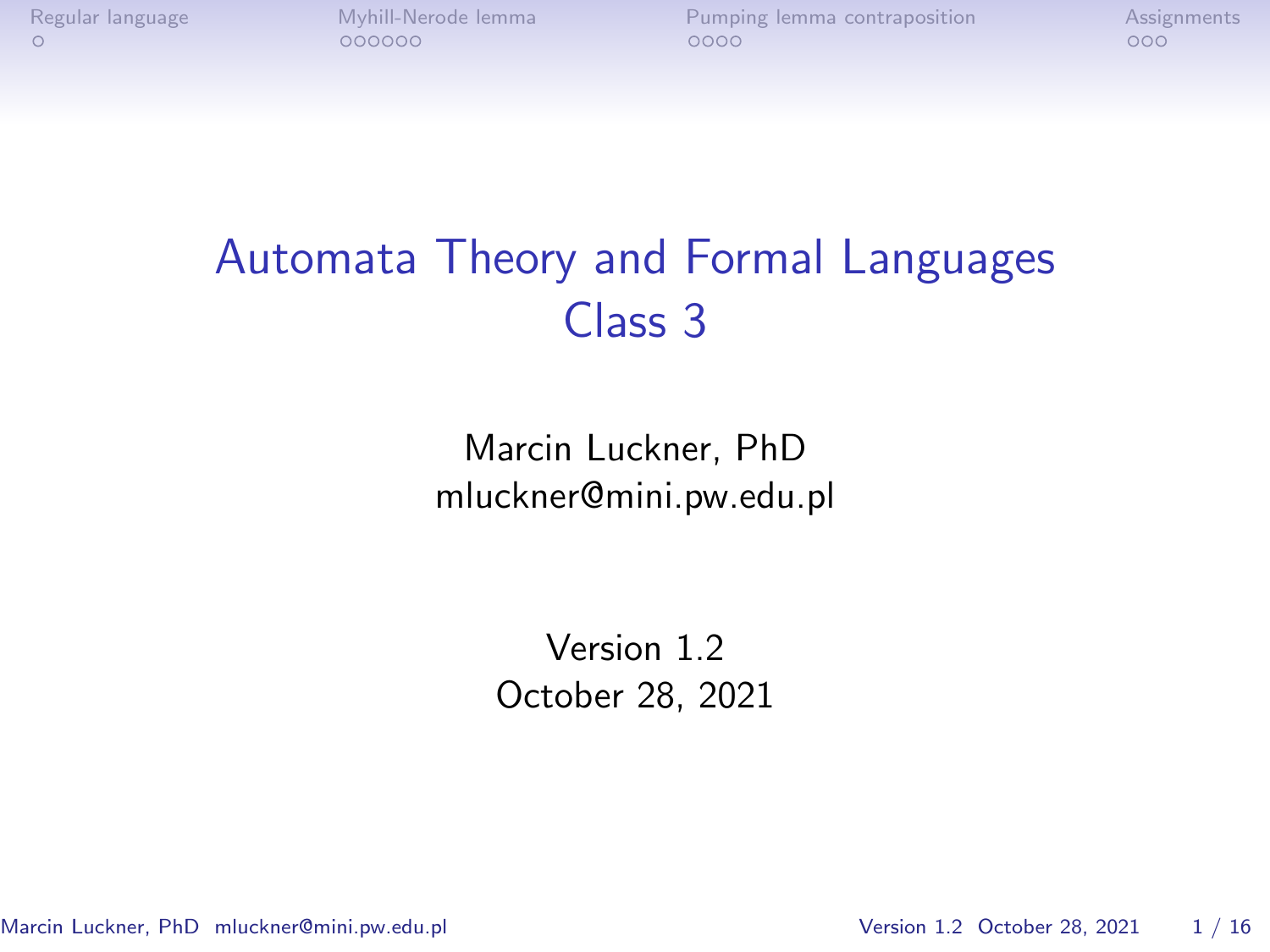# Automata Theory and Formal Languages Class 3

Marcin Luckner, PhD mluckner@mini.pw.edu.pl

> Version 1.2 October 28, 2021

Marcin Luckner, PhD mluckner@mini.pw.edu.pl Version 1.2 October 28, 2021 1/16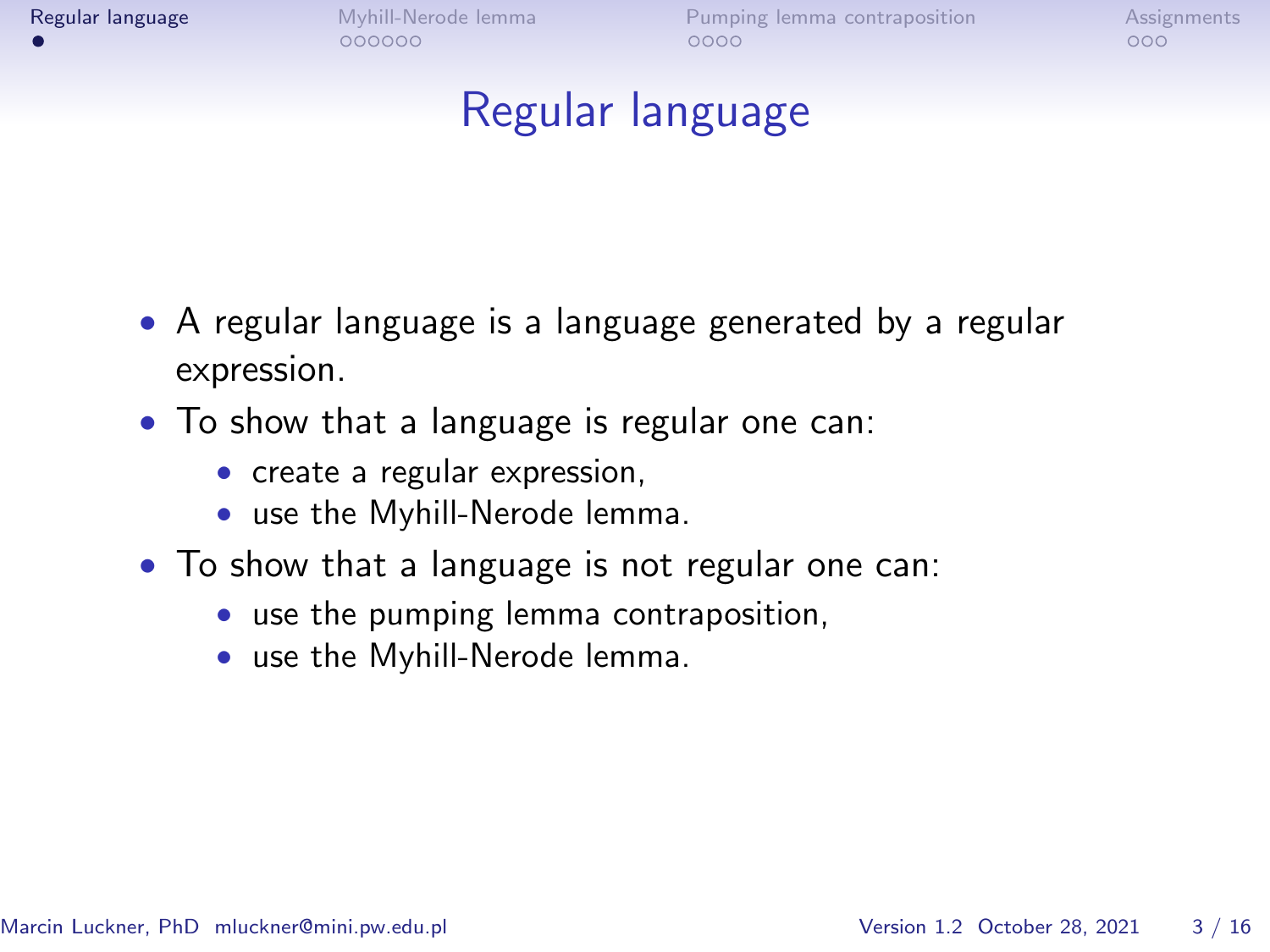<span id="page-1-0"></span>

# Regular language

- A regular language is a language generated by a regular expression.
- To show that a language is regular one can:
	- create a regular expression,
	- use the Myhill-Nerode lemma.
- To show that a language is not regular one can:
	- use the pumping lemma contraposition,
	- use the Myhill-Nerode lemma.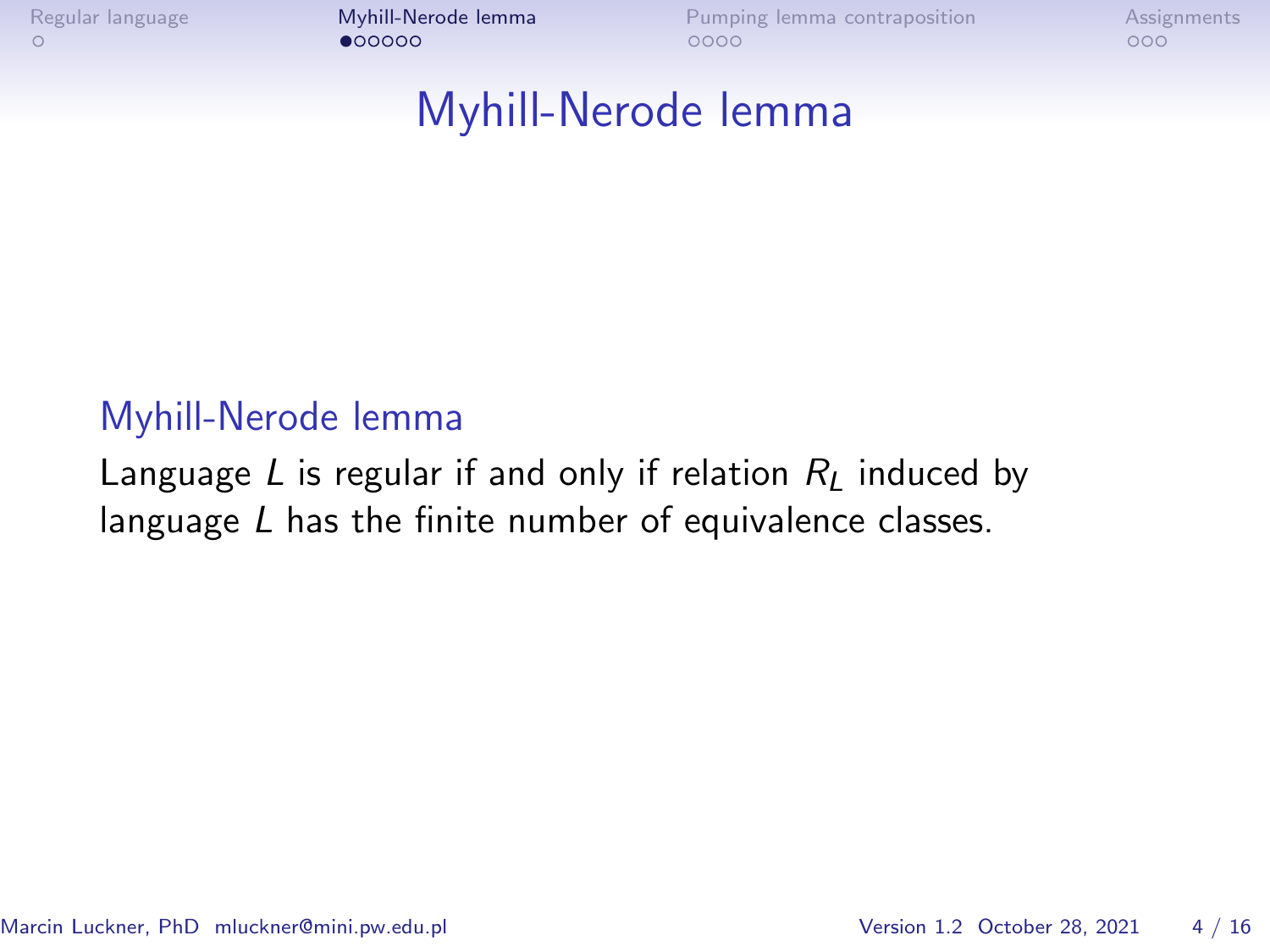<span id="page-2-0"></span>

#### Myhill-Nerode lemma

#### Myhill-Nerode lemma

Language L is regular if and only if relation  $R_L$  induced by language L has the finite number of equivalence classes.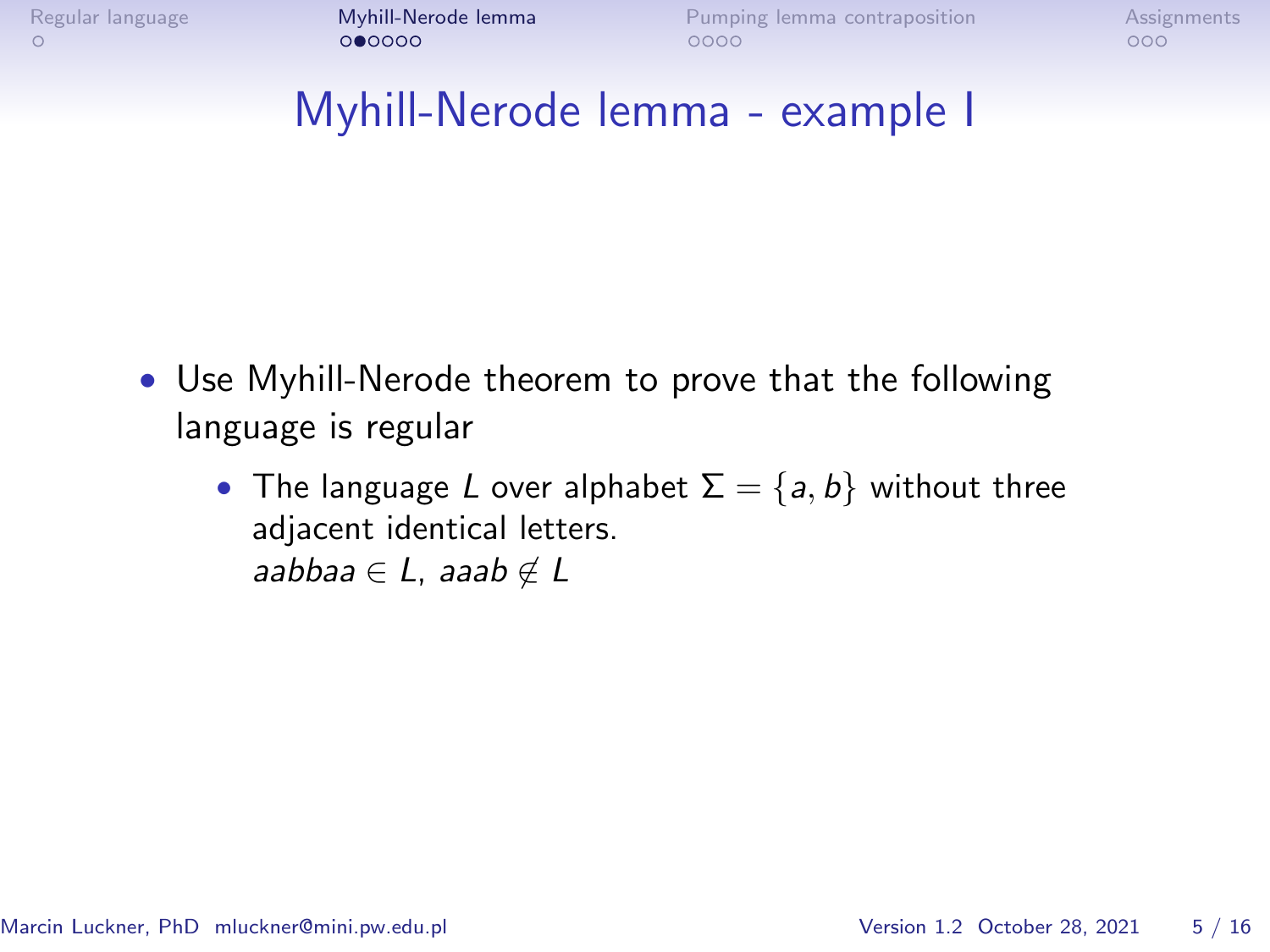### Myhill-Nerode lemma - example I

- Use Myhill-Nerode theorem to prove that the following language is regular
	- The language L over alphabet  $\Sigma = \{a, b\}$  without three adjacent identical letters. aabbaa ∈ L, aaab  $\notin L$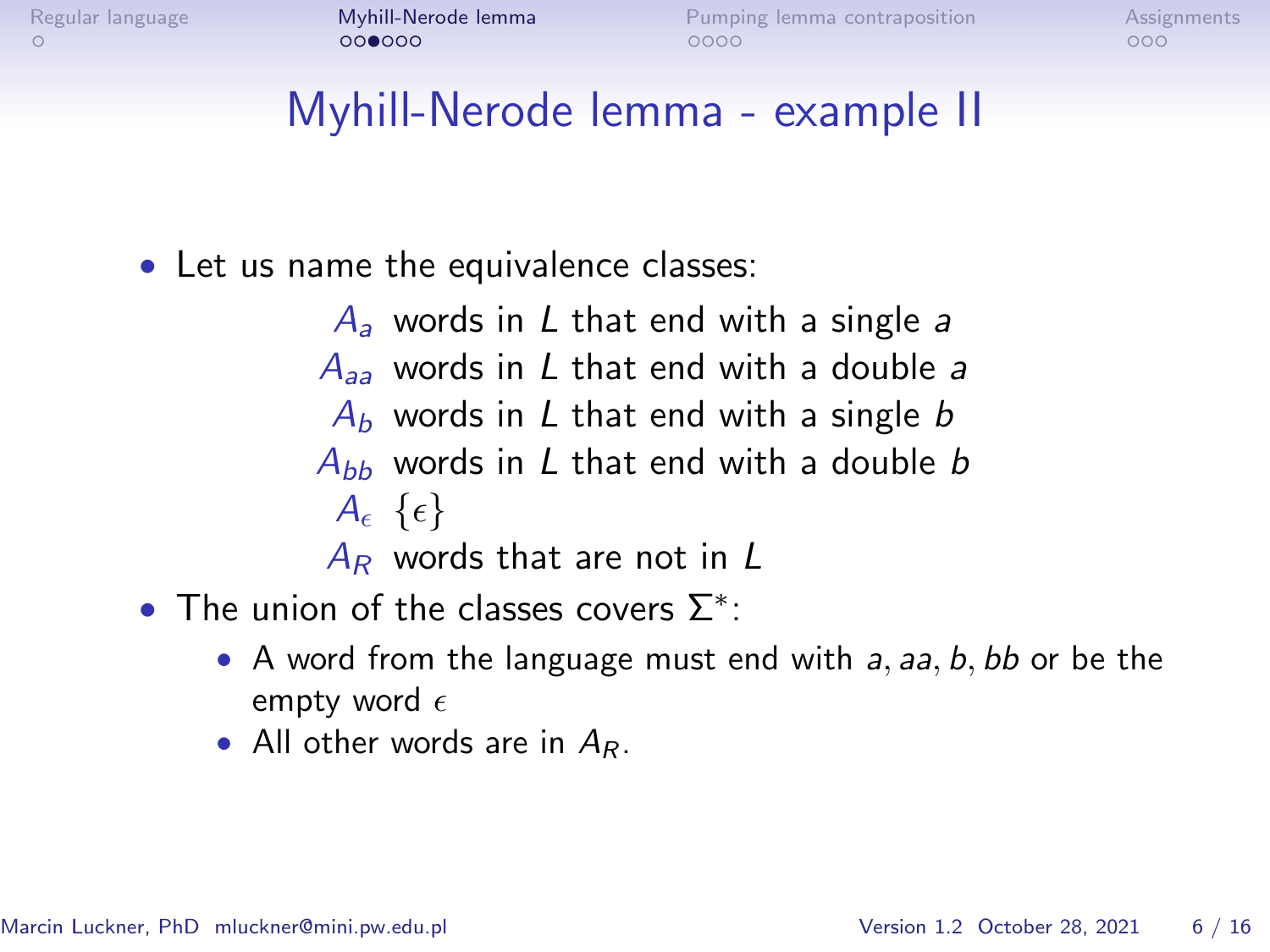# Myhill-Nerode lemma - example II

- Let us name the equivalence classes:
	- $A_a$  words in L that end with a single a  $A_{aa}$  words in L that end with a double a  $A_b$  words in L that end with a single b  $A_{bb}$  words in L that end with a double b  $A_{\epsilon} {\{\epsilon\}}$  $A_R$  words that are not in L
- The union of the classes covers  $\Sigma^*$ :
	- A word from the language must end with  $a$ ,  $aa$ ,  $b$ ,  $bb$  or be the empty word  $\epsilon$
	- All other words are in  $A_R$ .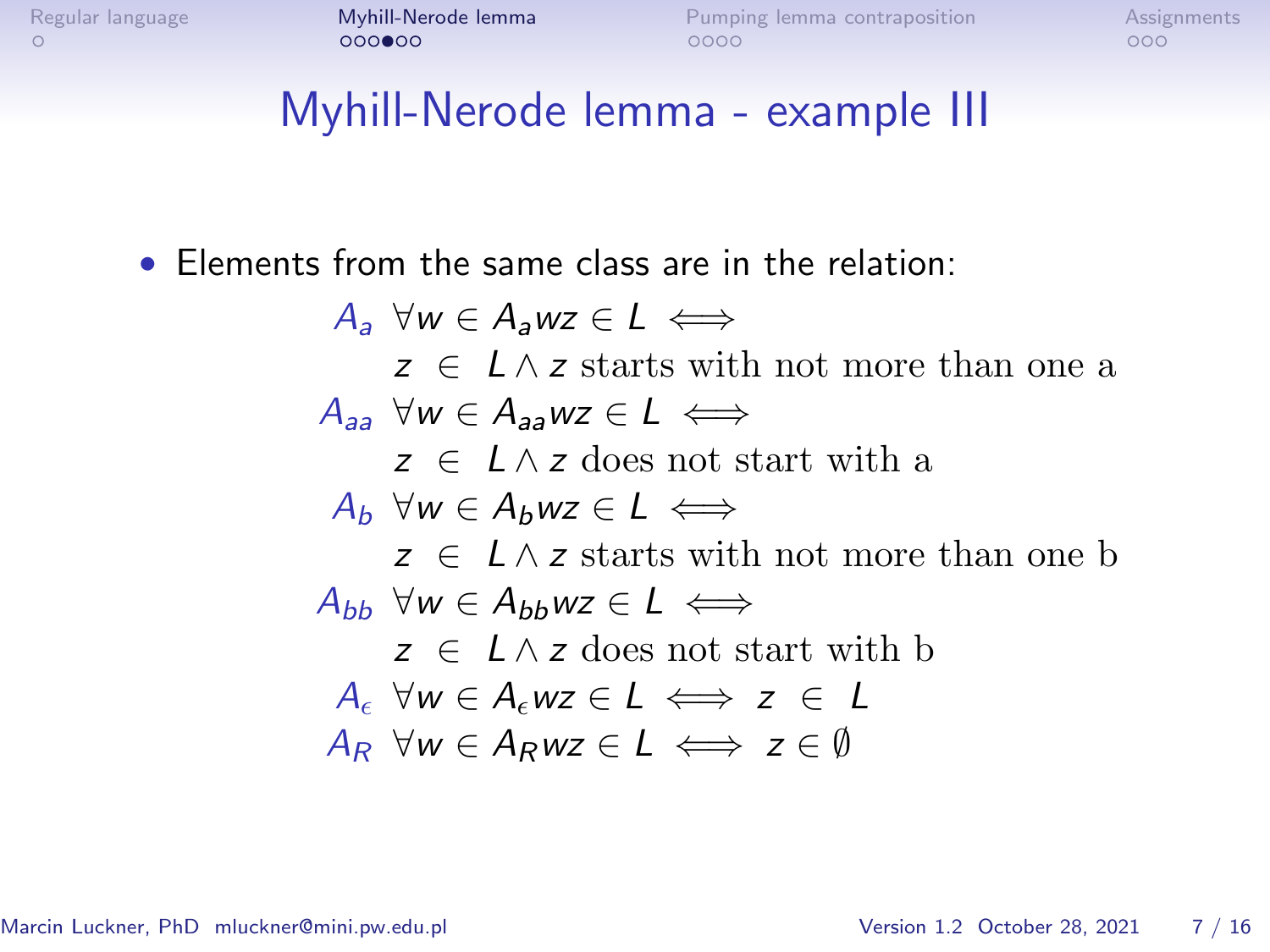### Myhill-Nerode lemma - example III

• Elements from the same class are in the relation:

 $A_3$   $\forall w \in A_3$ wz  $\in L \iff$  $z \in L \wedge z$  starts with not more than one a  $A_{33}$   $\forall w \in A_{33}$   $wz \in L \iff$  $z \in I \wedge z$  does not start with a  $A_b \forall w \in A_b w z \in L \iff$  $z \in L \wedge z$  starts with not more than one b  $A_{bb}$   $\forall w \in A_{bb}$ wz  $\in L \iff$  $z \in I \wedge z$  does not start with b  $A_{\epsilon}$   $\forall w \in A_{\epsilon}$ wz  $\in L \iff z \in L$  $A_R$   $\forall w \in A_Rwz \in L \iff z \in \emptyset$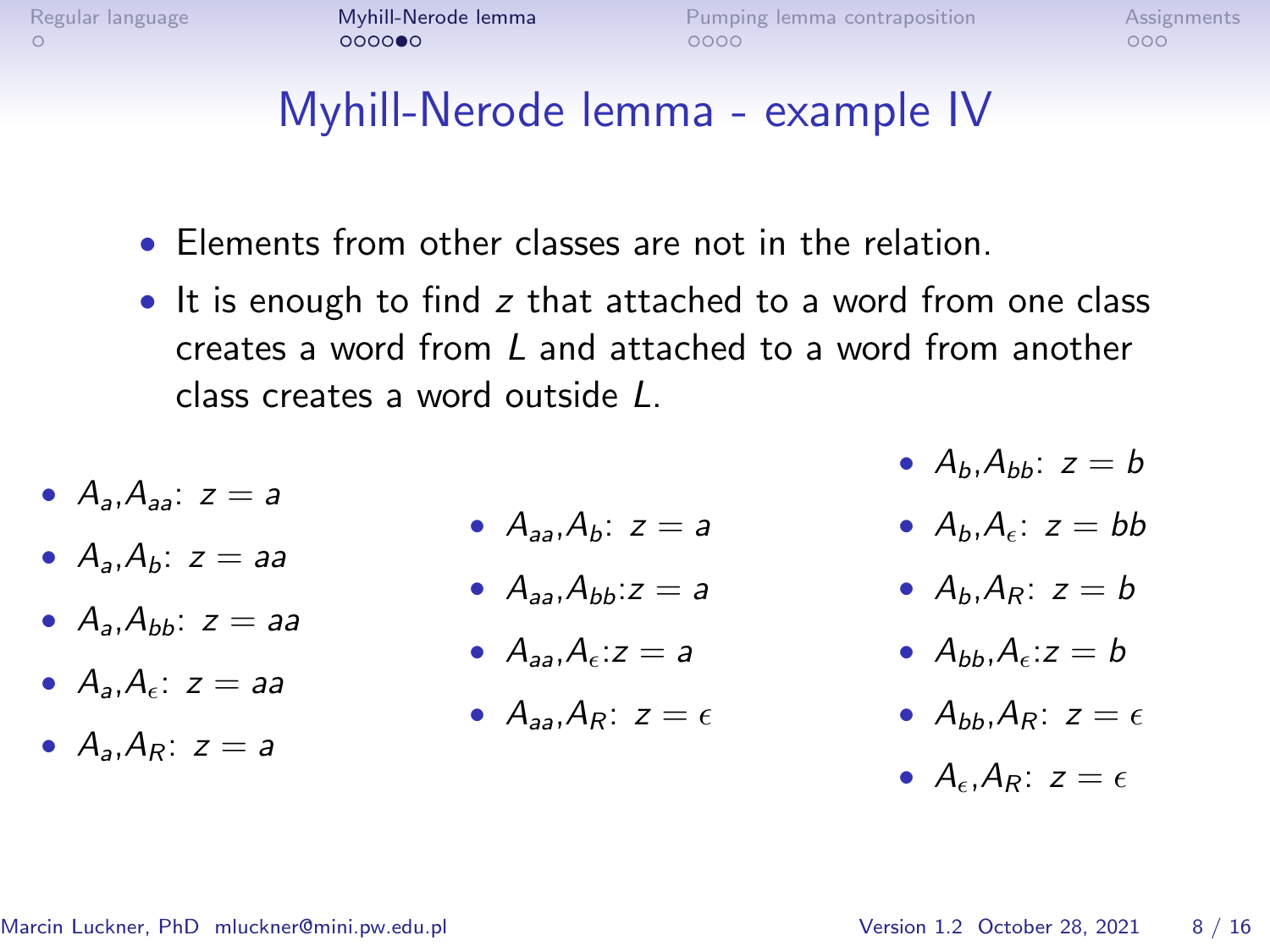# Myhill-Nerode lemma - example IV

- Elements from other classes are not in the relation.
- It is enough to find z that attached to a word from one class creates a word from L and attached to a word from another class creates a word outside L.
- $A_a$  $A_{aa}$ :  $z = a$
- $A_a$ ,  $A_b$ :  $z = aa$
- $A_3, A_{bb}$ :  $z = aa$
- $A_3$ ,  $A_4$ :  $z = aa$
- $A_4 A_5$ :  $z = a$
- $A_{aa}A_b$ :  $z = a$
- $A_{aa}$ ,  $A_{bb}$ :  $z = a$
- $A_{22}$ ,  $A_{6}$ :  $z = a$
- $A_{22}$ ,  $A_{R}$ :  $z = \epsilon$
- $A_h$ ,  $A_{hh}$ :  $z = b$ 
	- $A_b, A_\epsilon$ :  $z = bb$
- $A_b$ ,  $A_p$ :  $z = b$
- $A_{bb}$ ,  $A_{c}$ :  $z = b$
- $A_{bb}$ ,  $A_{P}$ :  $z = \epsilon$
- $A_{\epsilon}$ ,  $A_{R}$ :  $z = \epsilon$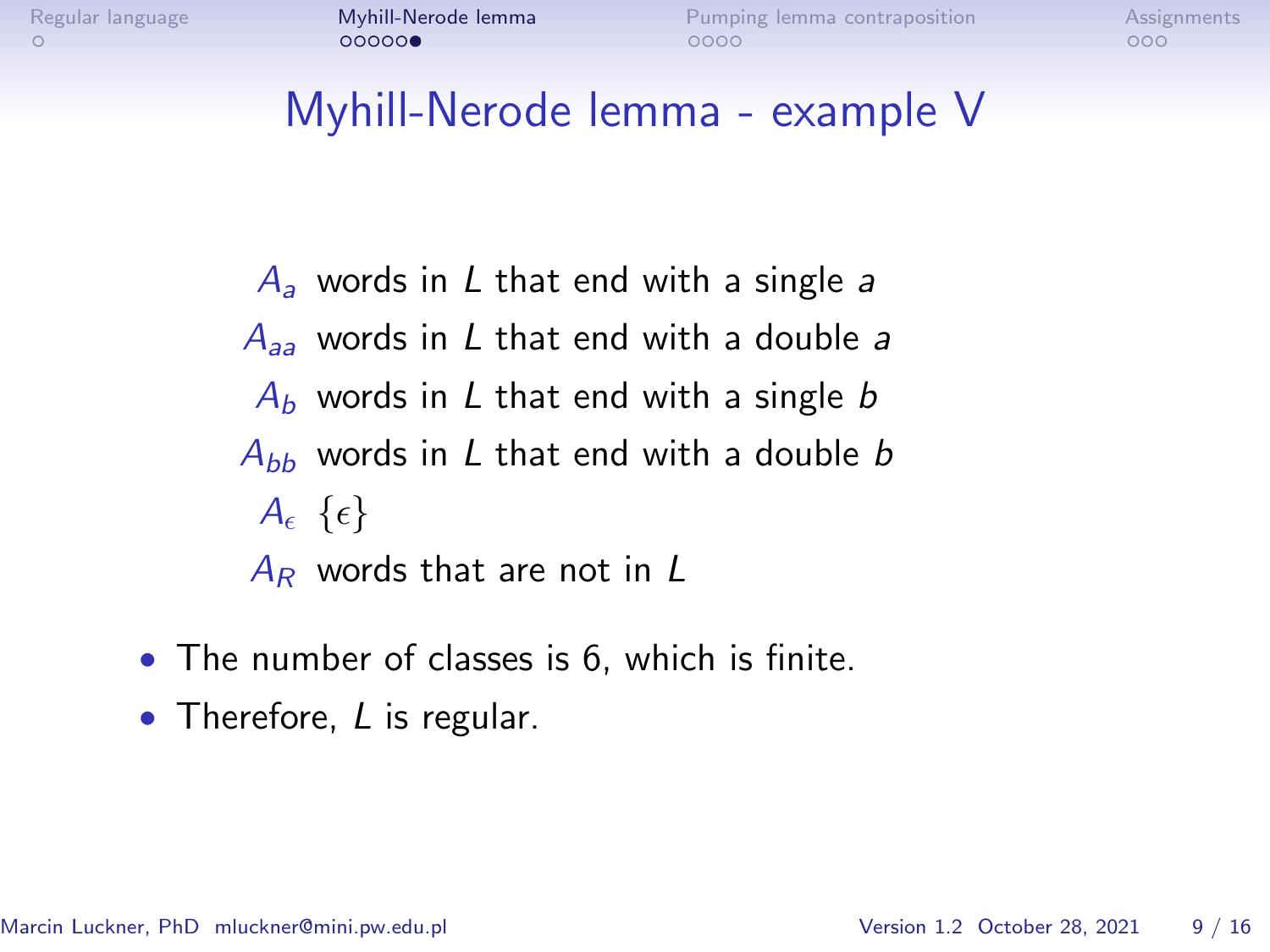# Myhill-Nerode lemma - example V

- $A_a$  words in L that end with a single a  $A_{aa}$  words in L that end with a double a  $A_b$  words in L that end with a single b  $A_{hh}$  words in L that end with a double b  $A_{\epsilon} {\{\epsilon\}}$  $A_R$  words that are not in L
- The number of classes is 6, which is finite.
- Therefore, L is regular.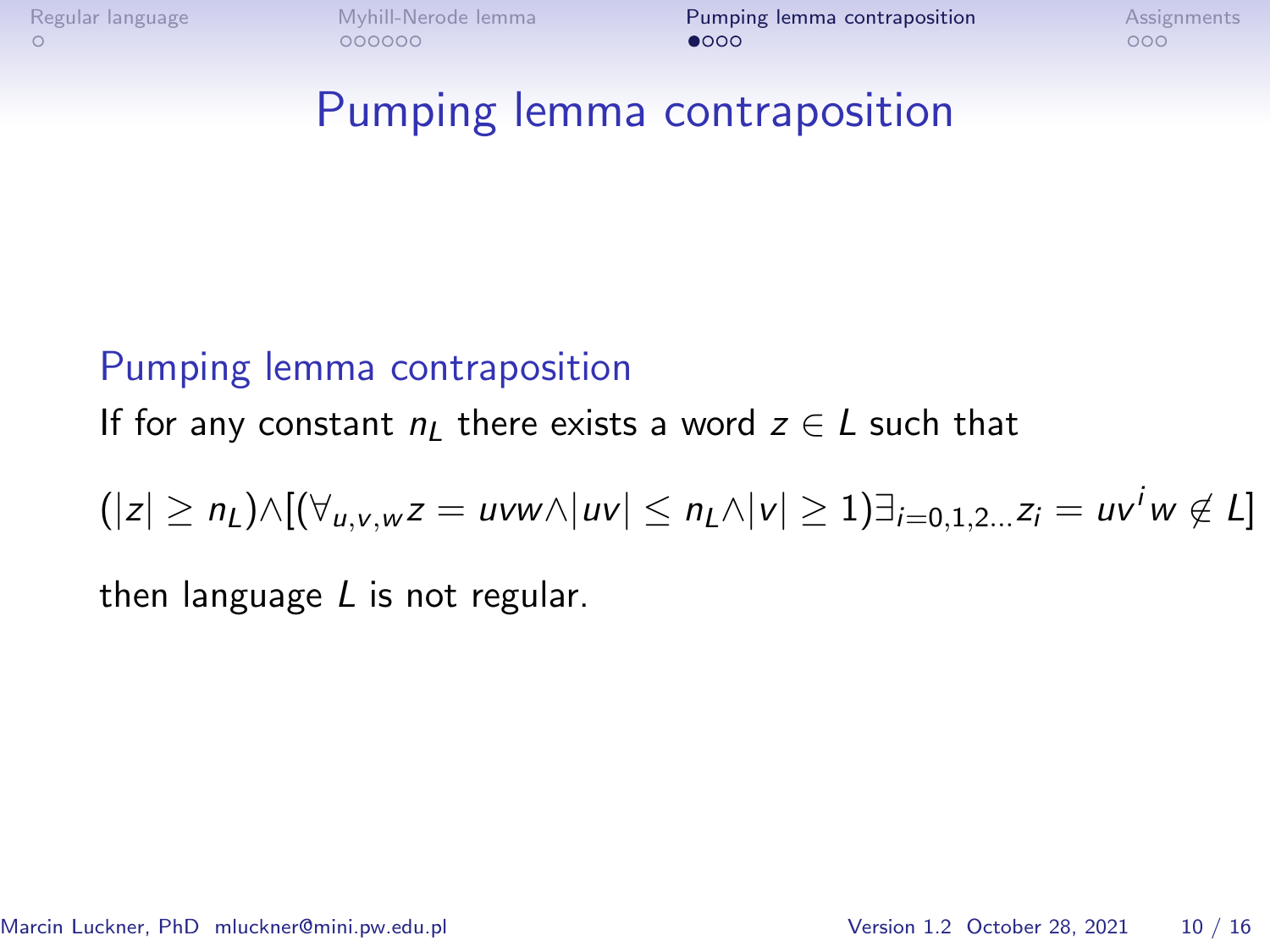<span id="page-8-0"></span>

### Pumping lemma contraposition

#### Pumping lemma contraposition

If for any constant  $n_l$  there exists a word  $z \in L$  such that

$$
(|z| \ge n_L) \wedge [(\forall_{u,v,w} z = uvw \wedge |uv| \le n_L \wedge |v| \ge 1)]_{i=0,1,2...} z_i = uv^i w \notin L]
$$

then language  $L$  is not regular.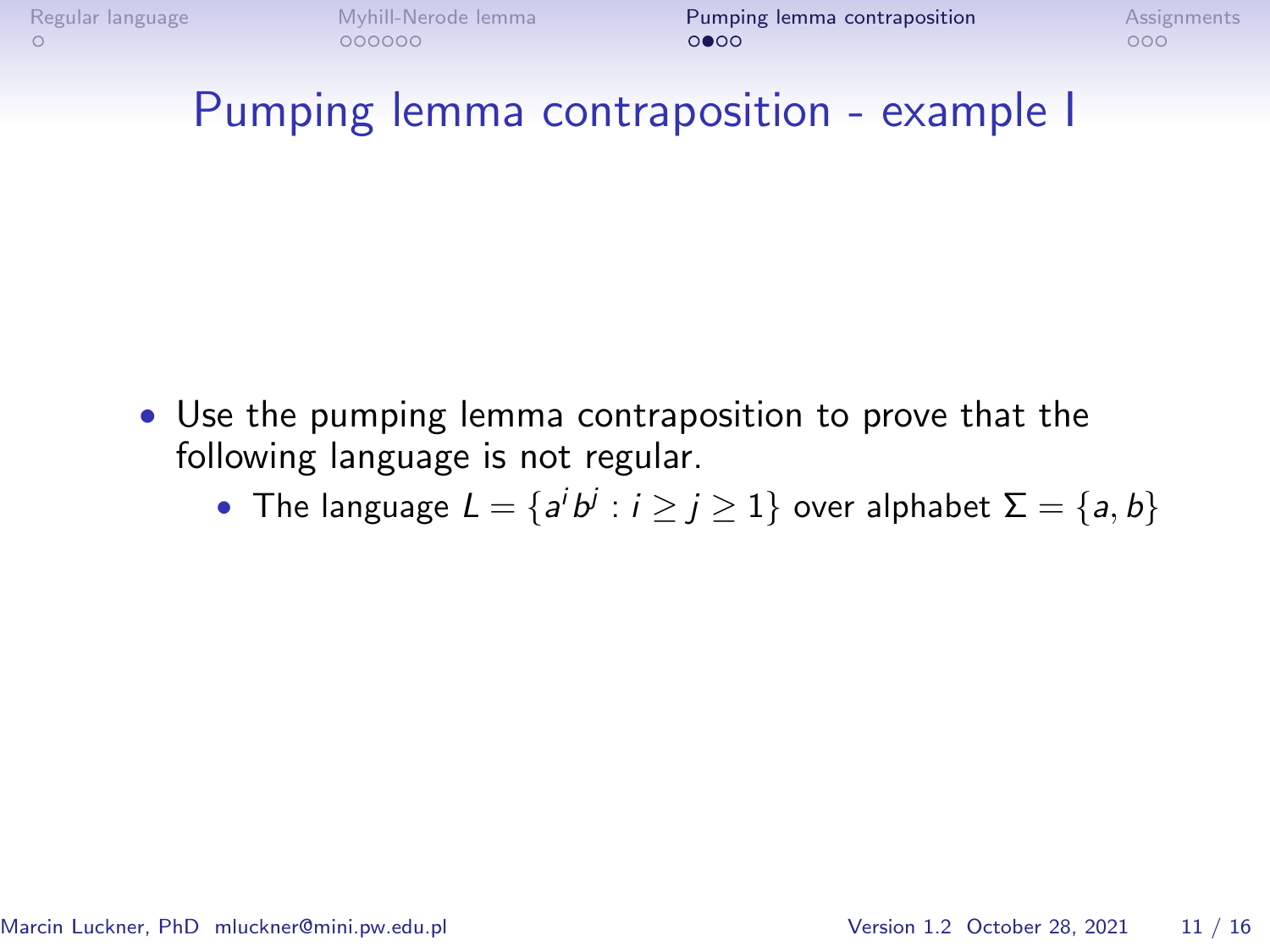# Pumping lemma contraposition - example I

- Use the pumping lemma contraposition to prove that the following language is not regular.
	- The language  $L = \{a^i b^j : i \geq j \geq 1\}$  over alphabet  $\Sigma = \{a, b\}$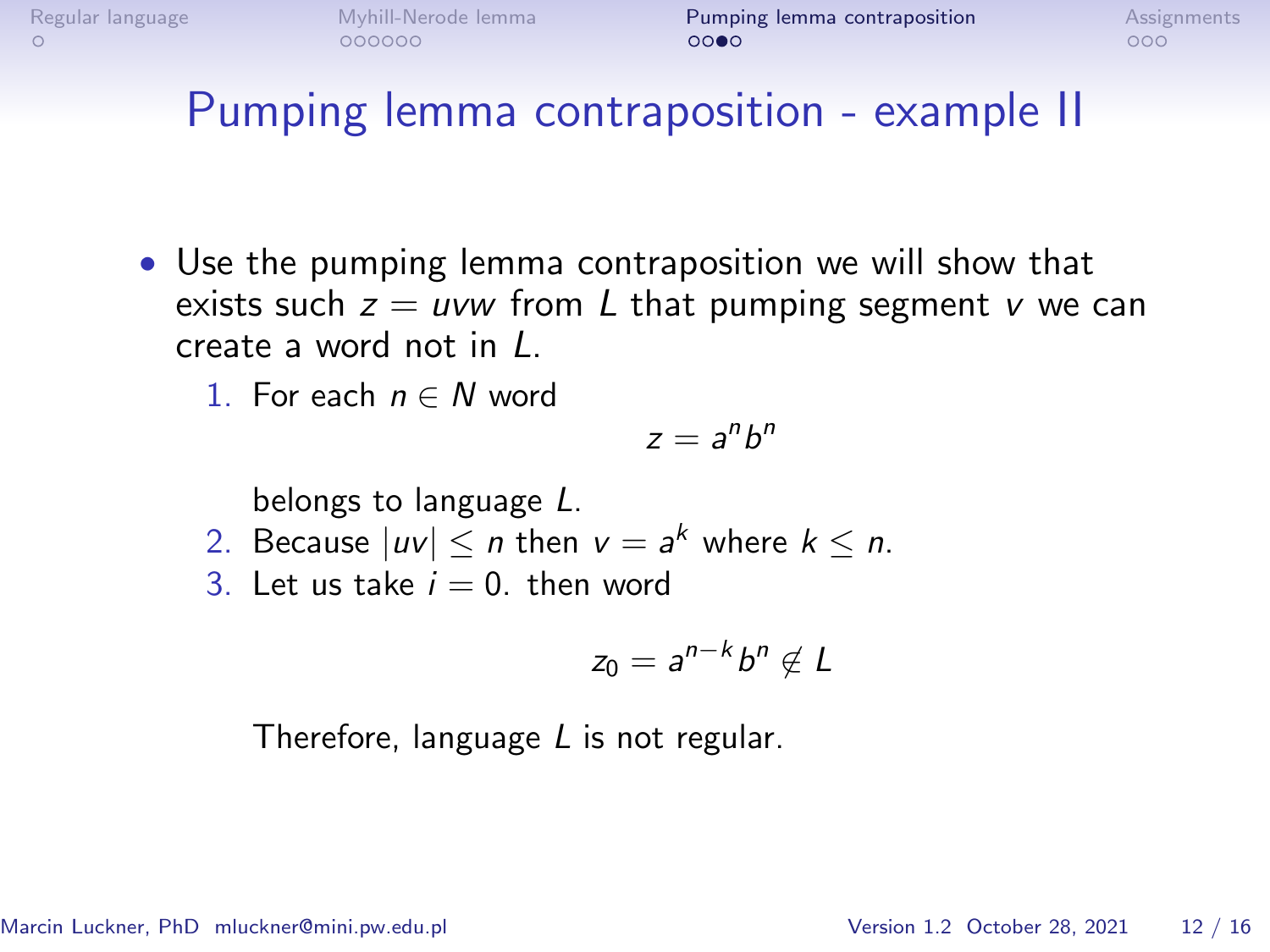# Pumping lemma contraposition - example II

- Use the pumping lemma contraposition we will show that exists such  $z = uvw$  from L that pumping segment v we can create a word not in L.
	- 1. For each  $n \in N$  word

$$
z=a^nb^n
$$

belongs to language L.

- 2. Because  $|uv| \le n$  then  $v = a^k$  where  $k \le n$ .
- 3. Let us take  $i = 0$ , then word

$$
z_0=a^{n-k}b^n\notin L
$$

Therefore, language L is not regular.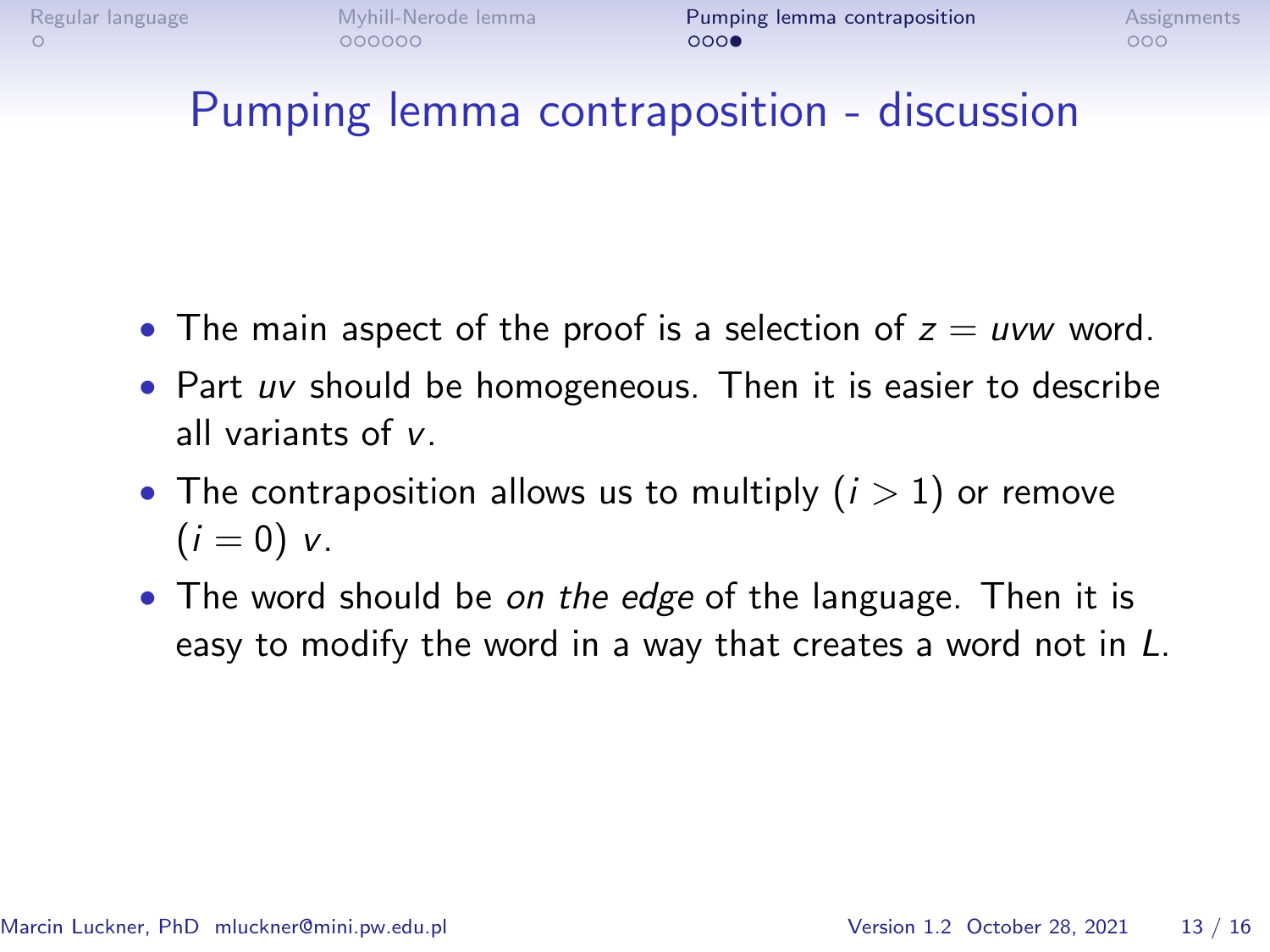# Pumping lemma contraposition - discussion

- The main aspect of the proof is a selection of  $z = uvw$  word.
- Part uv should be homogeneous. Then it is easier to describe all variants of v.
- The contraposition allows us to multiply  $(i > 1)$  or remove  $(i = 0)$  v.
- The word should be on the edge of the language. Then it is easy to modify the word in a way that creates a word not in L.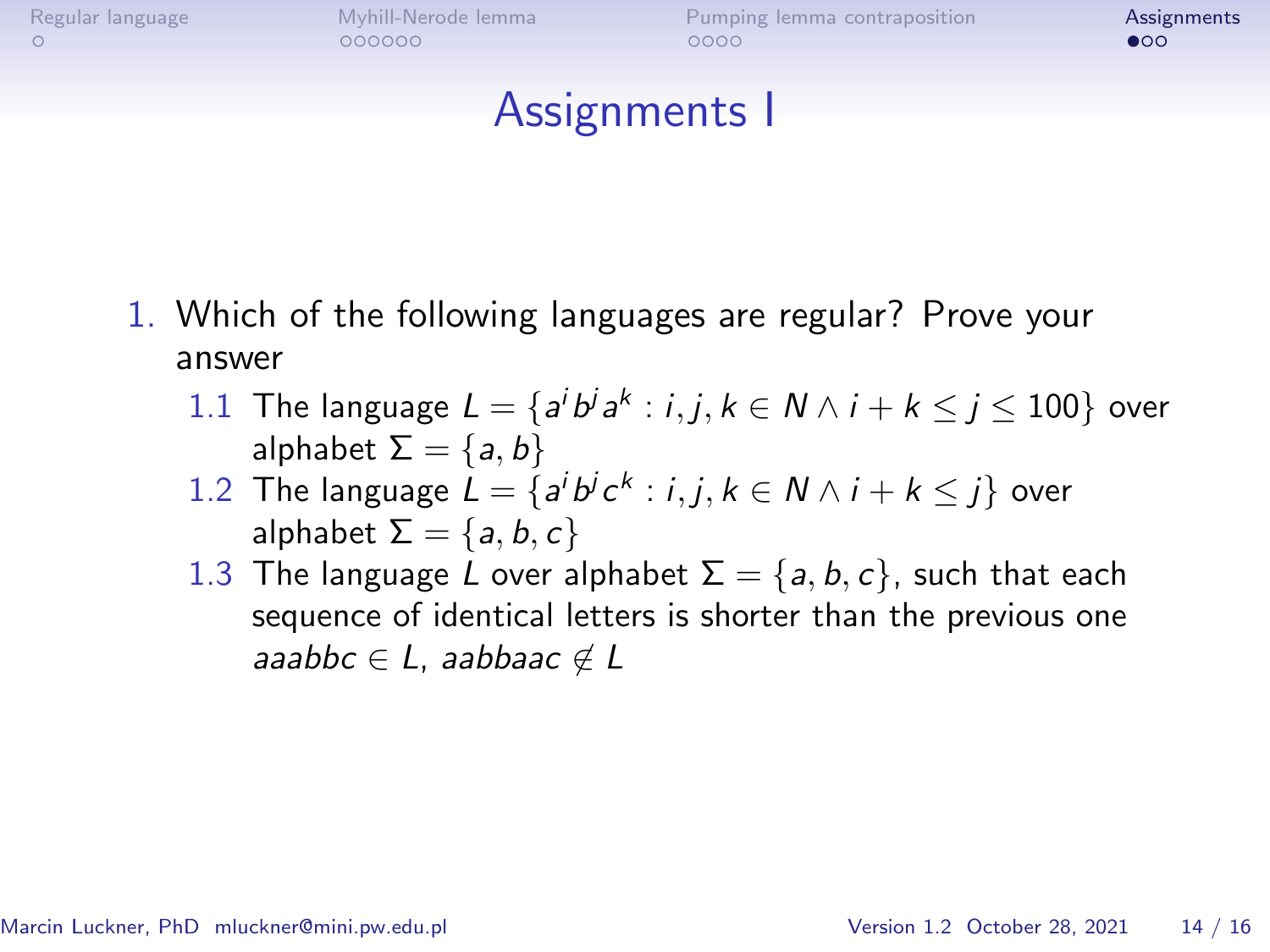<span id="page-12-0"></span>

# Assignments I

- 1. Which of the following languages are regular? Prove your answer
	- 1.1 The language  $L = \{a^i b^j a^k : i, j, k \in \mathbb{N} \land i + k \leq j \leq 100\}$  over alphabet  $\Sigma = \{a, b\}$
	- 1.2 The language  $L = \{a^i b^j c^k : i, j, k \in \mathbb{N} \land i + k \leq j\}$  over alphabet  $\Sigma = \{a, b, c\}$
	- 1.3 The language L over alphabet  $\Sigma = \{a, b, c\}$ , such that each sequence of identical letters is shorter than the previous one aaabbc  $\in L$ , aabbaac  $\notin L$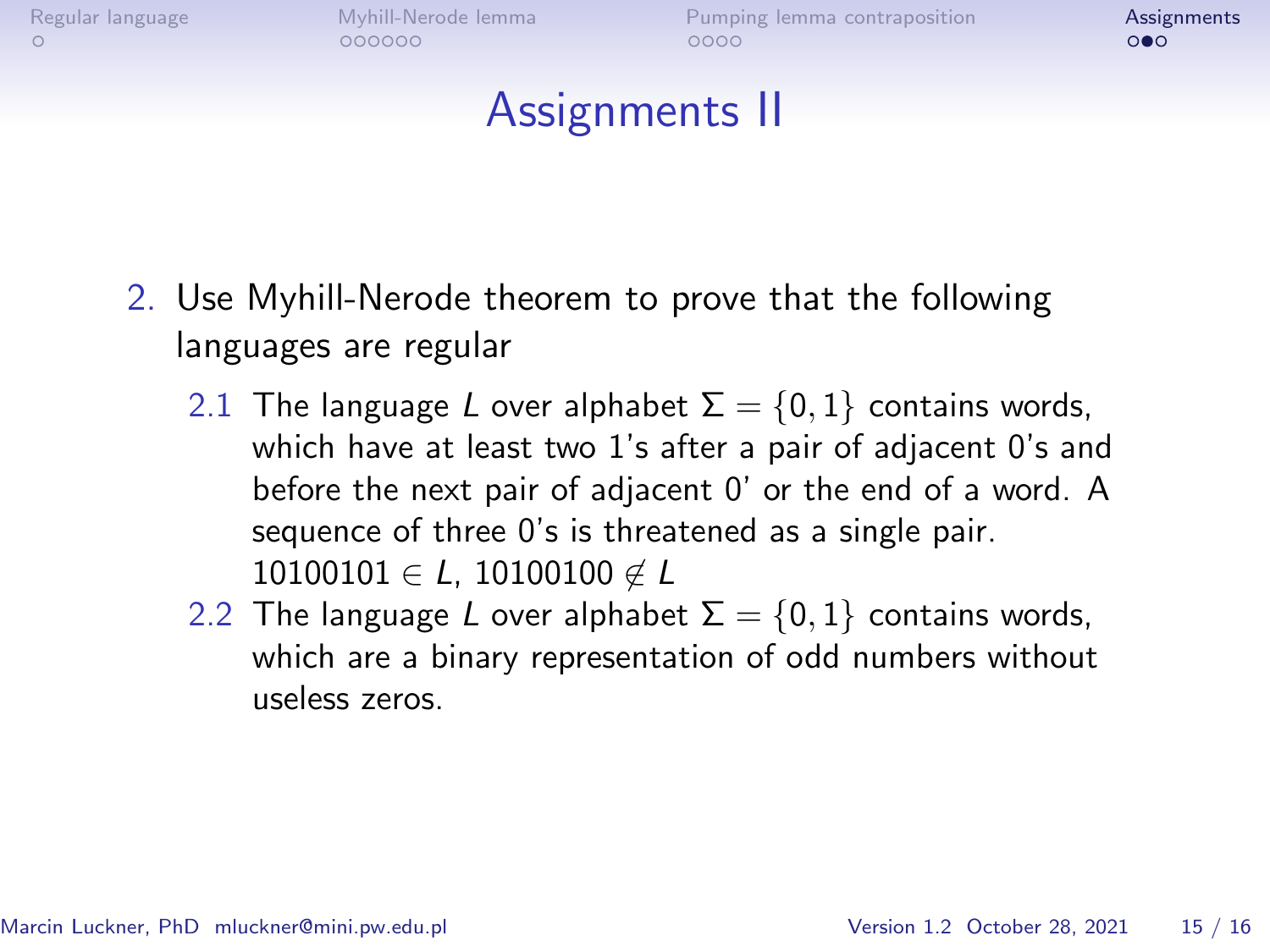# Assignments II

- 2. Use Myhill-Nerode theorem to prove that the following languages are regular
	- 2.1 The language L over alphabet  $\Sigma = \{0, 1\}$  contains words, which have at least two 1's after a pair of adjacent 0's and before the next pair of adjacent 0' or the end of a word. A sequence of three 0's is threatened as a single pair.  $10100101 \in L$ , 10100100  $\notin L$
	- 2.2 The language L over alphabet  $\Sigma = \{0, 1\}$  contains words, which are a binary representation of odd numbers without useless zeros.